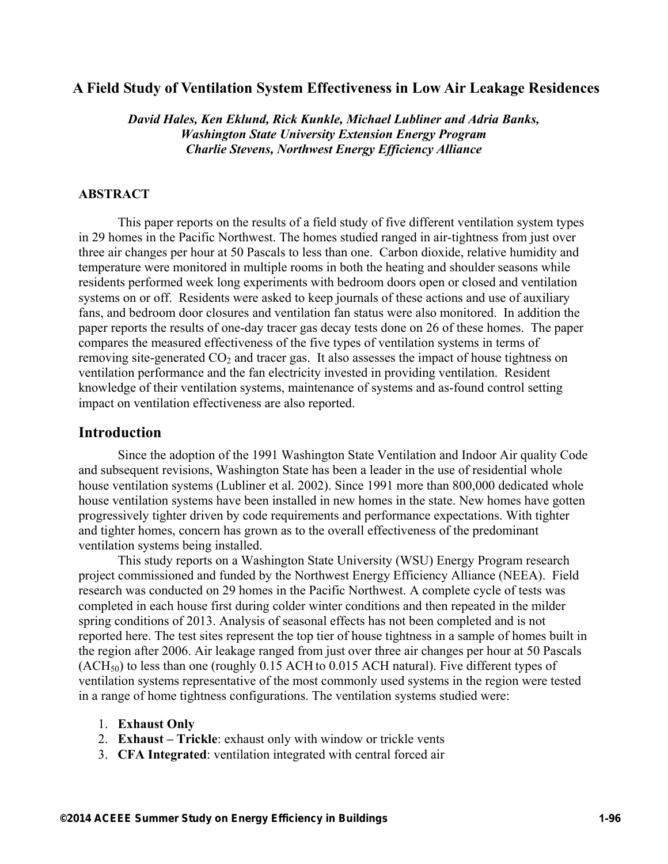## **A Field Study of Ventilation System Effectiveness in Low Air Leakage Residences**

*David Hales, Ken Eklund, Rick Kunkle, Michael Lubliner and Adria Banks, Washington State University Extension Energy Program Charlie Stevens, Northwest Energy Efficiency Alliance*

#### **ABSTRACT**

This paper reports on the results of a field study of five different ventilation system types in 29 homes in the Pacific Northwest. The homes studied ranged in air-tightness from just over three air changes per hour at 50 Pascals to less than one. Carbon dioxide, relative humidity and temperature were monitored in multiple rooms in both the heating and shoulder seasons while residents performed week long experiments with bedroom doors open or closed and ventilation systems on or off. Residents were asked to keep journals of these actions and use of auxiliary fans, and bedroom door closures and ventilation fan status were also monitored. In addition the paper reports the results of one-day tracer gas decay tests done on 26 of these homes. The paper compares the measured effectiveness of the five types of ventilation systems in terms of removing site-generated  $CO<sub>2</sub>$  and tracer gas. It also assesses the impact of house tightness on ventilation performance and the fan electricity invested in providing ventilation. Resident knowledge of their ventilation systems, maintenance of systems and as-found control setting impact on ventilation effectiveness are also reported.

#### **Introduction**

Since the adoption of the 1991 Washington State Ventilation and Indoor Air quality Code and subsequent revisions, Washington State has been a leader in the use of residential whole house ventilation systems (Lubliner et al. 2002). Since 1991 more than 800,000 dedicated whole house ventilation systems have been installed in new homes in the state. New homes have gotten progressively tighter driven by code requirements and performance expectations. With tighter and tighter homes, concern has grown as to the overall effectiveness of the predominant ventilation systems being installed.

This study reports on a Washington State University (WSU) Energy Program research project commissioned and funded by the Northwest Energy Efficiency Alliance (NEEA). Field research was conducted on 29 homes in the Pacific Northwest. A complete cycle of tests was completed in each house first during colder winter conditions and then repeated in the milder spring conditions of 2013. Analysis of seasonal effects has not been completed and is not reported here. The test sites represent the top tier of house tightness in a sample of homes built in the region after 2006. Air leakage ranged from just over three air changes per hour at 50 Pascals  $(ACH<sub>50</sub>)$  to less than one (roughly 0.15 ACH to 0.015 ACH natural). Five different types of ventilation systems representative of the most commonly used systems in the region were tested in a range of home tightness configurations. The ventilation systems studied were:

- 1. **Exhaust Only**
- 2. **Exhaust Trickle**: exhaust only with window or trickle vents
- 3. **CFA Integrated**: ventilation integrated with central forced air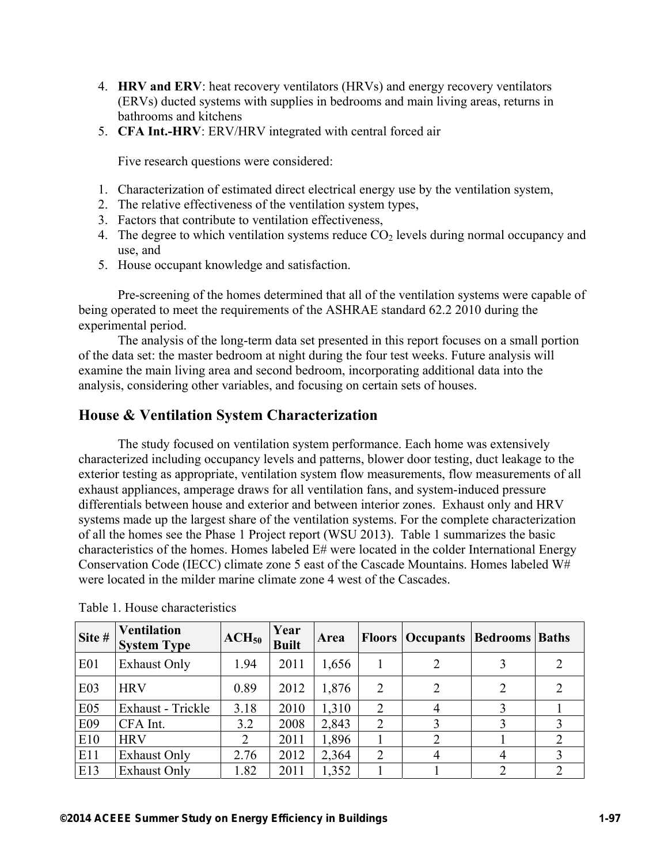- 4. **HRV and ERV**: heat recovery ventilators (HRVs) and energy recovery ventilators (ERVs) ducted systems with supplies in bedrooms and main living areas, returns in bathrooms and kitchens
- 5. **CFA Int.-HRV**: ERV/HRV integrated with central forced air

Five research questions were considered:

- 1. Characterization of estimated direct electrical energy use by the ventilation system,
- 2. The relative effectiveness of the ventilation system types,
- 3. Factors that contribute to ventilation effectiveness,
- 4. The degree to which ventilation systems reduce  $CO<sub>2</sub>$  levels during normal occupancy and use, and
- 5. House occupant knowledge and satisfaction.

Pre-screening of the homes determined that all of the ventilation systems were capable of being operated to meet the requirements of the ASHRAE standard 62.2 2010 during the experimental period.

The analysis of the long-term data set presented in this report focuses on a small portion of the data set: the master bedroom at night during the four test weeks. Future analysis will examine the main living area and second bedroom, incorporating additional data into the analysis, considering other variables, and focusing on certain sets of houses.

### **House & Ventilation System Characterization**

The study focused on ventilation system performance. Each home was extensively characterized including occupancy levels and patterns, blower door testing, duct leakage to the exterior testing as appropriate, ventilation system flow measurements, flow measurements of all exhaust appliances, amperage draws for all ventilation fans, and system-induced pressure differentials between house and exterior and between interior zones. Exhaust only and HRV systems made up the largest share of the ventilation systems. For the complete characterization of all the homes see the Phase 1 Project report (WSU 2013). Table 1 summarizes the basic characteristics of the homes. Homes labeled E# were located in the colder International Energy Conservation Code (IECC) climate zone 5 east of the Cascade Mountains. Homes labeled W# were located in the milder marine climate zone 4 west of the Cascades.

| Site # | <b>Ventilation</b><br><b>System Type</b> | $ACH_{50}$ | Year<br><b>Built</b> | Area  |                | <b>Floors Occupants</b> | <b>Bedrooms</b> | <b>Baths</b> |
|--------|------------------------------------------|------------|----------------------|-------|----------------|-------------------------|-----------------|--------------|
| E01    | <b>Exhaust Only</b>                      | 1.94       | 2011                 | 1,656 |                |                         |                 |              |
| E03    | <b>HRV</b>                               | 0.89       | 2012                 | 1,876 | $\overline{2}$ |                         |                 |              |
| E05    | Exhaust - Trickle                        | 3.18       | 2010                 | 1,310 | $\overline{2}$ |                         |                 |              |
| E09    | CFA Int.                                 | 3.2        | 2008                 | 2,843 | $\overline{2}$ |                         |                 |              |
| E10    | <b>HRV</b>                               | 2          | 2011                 | 1,896 |                |                         |                 |              |
| E11    | <b>Exhaust Only</b>                      | 2.76       | 2012                 | 2,364 | $\overline{2}$ |                         |                 |              |
| E13    | <b>Exhaust Only</b>                      | 1.82       | 2011                 | 1,352 |                |                         |                 |              |

Table 1. House characteristics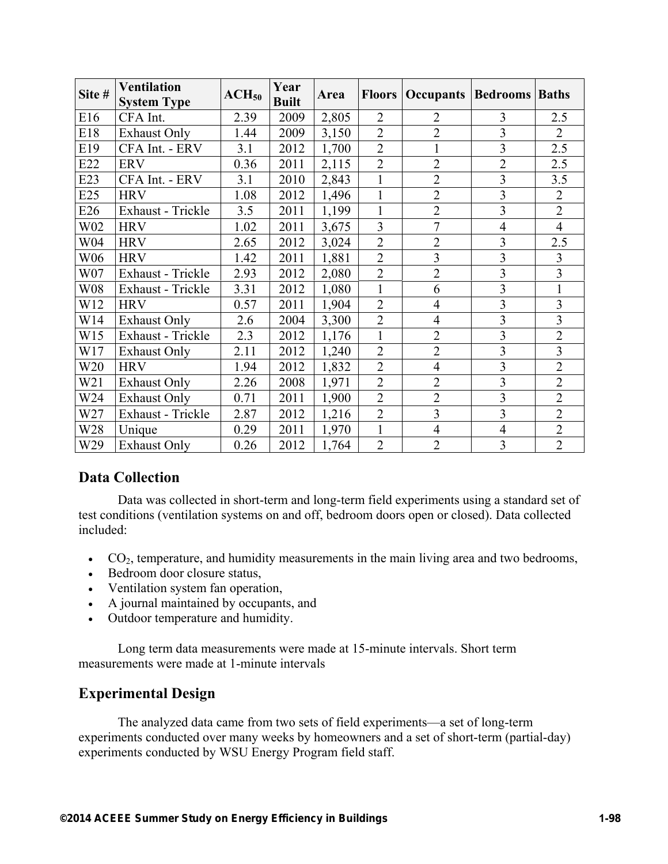| Site # | <b>Ventilation</b><br><b>System Type</b> | $ACH_{50}$ | Year<br><b>Built</b> | Area  |                | <b>Floors   Occupants   Bedrooms   Baths</b> |                |                |
|--------|------------------------------------------|------------|----------------------|-------|----------------|----------------------------------------------|----------------|----------------|
| E16    | CFA Int.                                 | 2.39       | 2009                 | 2,805 | $\overline{2}$ | $\overline{2}$                               | 3              | 2.5            |
| E18    | <b>Exhaust Only</b>                      | 1.44       | 2009                 | 3,150 | $\overline{2}$ | $\overline{2}$                               | 3              | $\overline{2}$ |
| E19    | CFA Int. - ERV                           | 3.1        | 2012                 | 1,700 | $\overline{2}$ |                                              | $\overline{3}$ | 2.5            |
| E22    | <b>ERV</b>                               | 0.36       | 2011                 | 2,115 | $\overline{2}$ | $\overline{2}$                               | $\overline{2}$ | 2.5            |
| E23    | CFA Int. - ERV                           | 3.1        | 2010                 | 2,843 | $\mathbf{1}$   | $\overline{2}$                               | 3              | 3.5            |
| E25    | <b>HRV</b>                               | 1.08       | 2012                 | 1,496 | $\mathbf{1}$   | $\overline{2}$                               | 3              | $\overline{2}$ |
| E26    | Exhaust - Trickle                        | 3.5        | 2011                 | 1,199 | $\mathbf{1}$   | $\overline{2}$                               | 3              | $\overline{2}$ |
| W02    | <b>HRV</b>                               | 1.02       | 2011                 | 3,675 | 3              | $\overline{7}$                               | $\overline{4}$ | $\overline{4}$ |
| W04    | <b>HRV</b>                               | 2.65       | 2012                 | 3,024 | $\overline{2}$ | $\overline{2}$                               | 3              | 2.5            |
| W06    | <b>HRV</b>                               | 1.42       | 2011                 | 1,881 | $\overline{2}$ | $\overline{3}$                               | 3              | $\overline{3}$ |
| W07    | Exhaust - Trickle                        | 2.93       | 2012                 | 2,080 | $\overline{2}$ | $\overline{2}$                               | 3              | 3              |
| W08    | Exhaust - Trickle                        | 3.31       | 2012                 | 1,080 | $\mathbf{1}$   | 6                                            | $\overline{3}$ | 1              |
| W12    | <b>HRV</b>                               | 0.57       | 2011                 | 1,904 | $\overline{2}$ | $\overline{4}$                               | $\overline{3}$ | 3              |
| W14    | <b>Exhaust Only</b>                      | 2.6        | 2004                 | 3,300 | $\overline{2}$ | $\overline{4}$                               | $\overline{3}$ | $\overline{3}$ |
| W15    | Exhaust - Trickle                        | 2.3        | 2012                 | 1,176 | $\mathbf{1}$   | $\overline{2}$                               | $\overline{3}$ | $\overline{2}$ |
| W17    | <b>Exhaust Only</b>                      | 2.11       | 2012                 | 1,240 | $\overline{2}$ | $\overline{2}$                               | 3              | $\overline{3}$ |
| W20    | <b>HRV</b>                               | 1.94       | 2012                 | 1,832 | $\overline{2}$ | $\overline{4}$                               | $\overline{3}$ | $\overline{2}$ |
| W21    | <b>Exhaust Only</b>                      | 2.26       | 2008                 | 1,971 | $\overline{2}$ | $\overline{2}$                               | 3              | $\overline{2}$ |
| W24    | <b>Exhaust Only</b>                      | 0.71       | 2011                 | 1,900 | $\overline{2}$ | $\overline{2}$                               | 3              | $\overline{2}$ |
| W27    | Exhaust - Trickle                        | 2.87       | 2012                 | 1,216 | $\overline{2}$ | $\overline{3}$                               | $\overline{3}$ | $\overline{2}$ |
| W28    | Unique                                   | 0.29       | 2011                 | 1,970 | $\mathbf{1}$   | $\overline{4}$                               | $\overline{4}$ | $\overline{2}$ |
| W29    | <b>Exhaust Only</b>                      | 0.26       | 2012                 | 1,764 | $\overline{2}$ | $\overline{2}$                               | 3              | $\overline{2}$ |

## **Data Collection**

Data was collected in short-term and long-term field experiments using a standard set of test conditions (ventilation systems on and off, bedroom doors open or closed). Data collected included:

- $CO<sub>2</sub>$ , temperature, and humidity measurements in the main living area and two bedrooms,
- Bedroom door closure status,
- Ventilation system fan operation,
- A journal maintained by occupants, and
- Outdoor temperature and humidity.

Long term data measurements were made at 15-minute intervals. Short term measurements were made at 1-minute intervals

# **Experimental Design**

The analyzed data came from two sets of field experiments—a set of long-term experiments conducted over many weeks by homeowners and a set of short-term (partial-day) experiments conducted by WSU Energy Program field staff.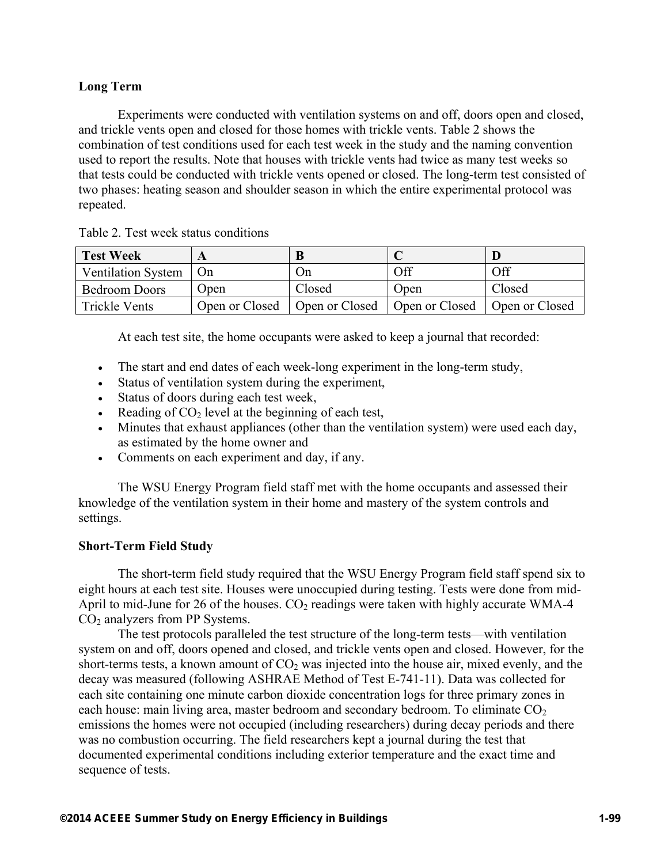#### **Long Term**

Experiments were conducted with ventilation systems on and off, doors open and closed, and trickle vents open and closed for those homes with trickle vents. Table 2 shows the combination of test conditions used for each test week in the study and the naming convention used to report the results. Note that houses with trickle vents had twice as many test weeks so that tests could be conducted with trickle vents opened or closed. The long-term test consisted of two phases: heating season and shoulder season in which the entire experimental protocol was repeated.

Table 2. Test week status conditions

| <b>Test Week</b>          |                | B              |                |                |
|---------------------------|----------------|----------------|----------------|----------------|
| <b>Ventilation System</b> | On             | Un             | Эff            | Off            |
| <b>Bedroom Doors</b>      | Jpen           | Closed         | Open           | Closed         |
| <b>Trickle Vents</b>      | Open or Closed | Open or Closed | Open or Closed | Open or Closed |

At each test site, the home occupants were asked to keep a journal that recorded:

- The start and end dates of each week-long experiment in the long-term study,
- Status of ventilation system during the experiment,
- Status of doors during each test week.
- Reading of  $CO<sub>2</sub>$  level at the beginning of each test,
- Minutes that exhaust appliances (other than the ventilation system) were used each day, as estimated by the home owner and
- Comments on each experiment and day, if any.

The WSU Energy Program field staff met with the home occupants and assessed their knowledge of the ventilation system in their home and mastery of the system controls and settings.

#### **Short-Term Field Study**

The short-term field study required that the WSU Energy Program field staff spend six to eight hours at each test site. Houses were unoccupied during testing. Tests were done from mid-April to mid-June for 26 of the houses.  $CO<sub>2</sub>$  readings were taken with highly accurate WMA-4 CO<sub>2</sub> analyzers from PP Systems.

The test protocols paralleled the test structure of the long-term tests—with ventilation system on and off, doors opened and closed, and trickle vents open and closed. However, for the short-terms tests, a known amount of  $CO<sub>2</sub>$  was injected into the house air, mixed evenly, and the decay was measured (following ASHRAE Method of Test E-741-11). Data was collected for each site containing one minute carbon dioxide concentration logs for three primary zones in each house: main living area, master bedroom and secondary bedroom. To eliminate  $CO<sub>2</sub>$ emissions the homes were not occupied (including researchers) during decay periods and there was no combustion occurring. The field researchers kept a journal during the test that documented experimental conditions including exterior temperature and the exact time and sequence of tests.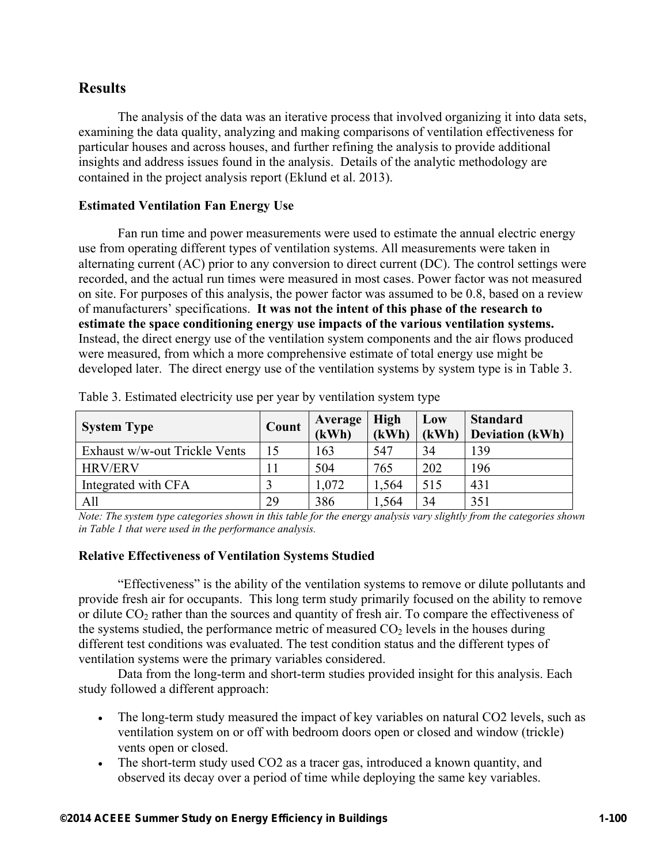## **Results**

The analysis of the data was an iterative process that involved organizing it into data sets, examining the data quality, analyzing and making comparisons of ventilation effectiveness for particular houses and across houses, and further refining the analysis to provide additional insights and address issues found in the analysis. Details of the analytic methodology are contained in the project analysis report (Eklund et al. 2013).

#### **Estimated Ventilation Fan Energy Use**

Fan run time and power measurements were used to estimate the annual electric energy use from operating different types of ventilation systems. All measurements were taken in alternating current (AC) prior to any conversion to direct current (DC). The control settings were recorded, and the actual run times were measured in most cases. Power factor was not measured on site. For purposes of this analysis, the power factor was assumed to be 0.8, based on a review of manufacturers' specifications. **It was not the intent of this phase of the research to estimate the space conditioning energy use impacts of the various ventilation systems.** Instead, the direct energy use of the ventilation system components and the air flows produced were measured, from which a more comprehensive estimate of total energy use might be developed later. The direct energy use of the ventilation systems by system type is in Table 3.

| <b>System Type</b>            | Count | Average<br>(kWh) | <b>High</b><br>(kWh) | Low<br>(kWh) | <b>Standard</b><br><b>Deviation (kWh)</b> |
|-------------------------------|-------|------------------|----------------------|--------------|-------------------------------------------|
| Exhaust w/w-out Trickle Vents | 15    | 163              | 547                  | 34           | 139                                       |
| <b>HRV/ERV</b>                |       | 504              | 765                  | 202          | 196                                       |
| Integrated with CFA           |       | 1,072            | 1,564                | 515          | 431                                       |
| All                           | 29    | 386              | .564                 | 34           | 351                                       |

Table 3. Estimated electricity use per year by ventilation system type

*Note: The system type categories shown in this table for the energy analysis vary slightly from the categories shown in Table 1 that were used in the performance analysis.*

#### **Relative Effectiveness of Ventilation Systems Studied**

"Effectiveness" is the ability of the ventilation systems to remove or dilute pollutants and provide fresh air for occupants. This long term study primarily focused on the ability to remove or dilute  $CO<sub>2</sub>$  rather than the sources and quantity of fresh air. To compare the effectiveness of the systems studied, the performance metric of measured  $CO<sub>2</sub>$  levels in the houses during different test conditions was evaluated. The test condition status and the different types of ventilation systems were the primary variables considered.

Data from the long-term and short-term studies provided insight for this analysis. Each study followed a different approach:

- The long-term study measured the impact of key variables on natural CO2 levels, such as ventilation system on or off with bedroom doors open or closed and window (trickle) vents open or closed.
- The short-term study used CO2 as a tracer gas, introduced a known quantity, and observed its decay over a period of time while deploying the same key variables.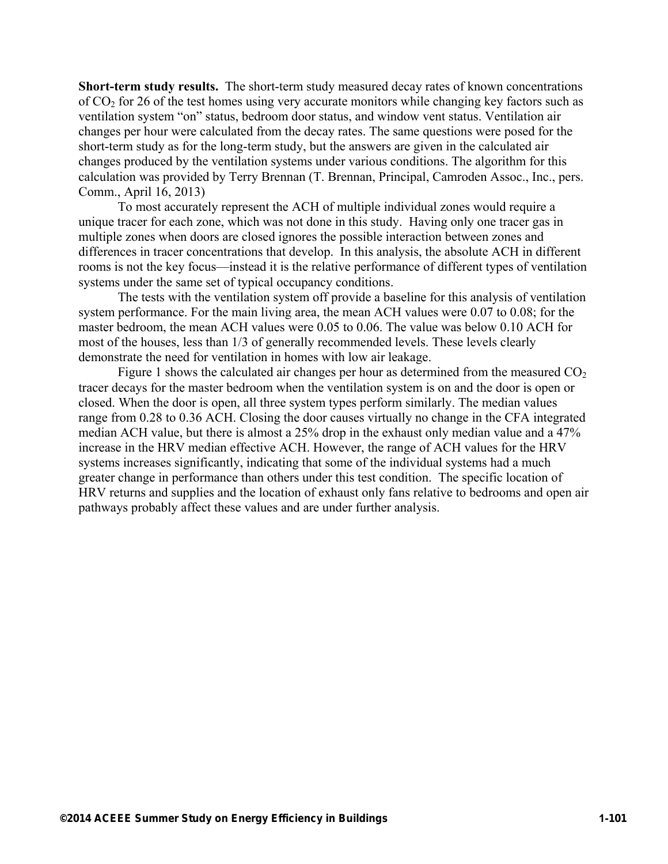**Short-term study results.** The short-term study measured decay rates of known concentrations of CO2 for 26 of the test homes using very accurate monitors while changing key factors such as ventilation system "on" status, bedroom door status, and window vent status. Ventilation air changes per hour were calculated from the decay rates. The same questions were posed for the short-term study as for the long-term study, but the answers are given in the calculated air changes produced by the ventilation systems under various conditions. The algorithm for this calculation was provided by Terry Brennan (T. Brennan, Principal, Camroden Assoc., Inc., pers. Comm., April 16, 2013)

To most accurately represent the ACH of multiple individual zones would require a unique tracer for each zone, which was not done in this study. Having only one tracer gas in multiple zones when doors are closed ignores the possible interaction between zones and differences in tracer concentrations that develop. In this analysis, the absolute ACH in different rooms is not the key focus—instead it is the relative performance of different types of ventilation systems under the same set of typical occupancy conditions.

The tests with the ventilation system off provide a baseline for this analysis of ventilation system performance. For the main living area, the mean ACH values were 0.07 to 0.08; for the master bedroom, the mean ACH values were 0.05 to 0.06. The value was below 0.10 ACH for most of the houses, less than 1/3 of generally recommended levels. These levels clearly demonstrate the need for ventilation in homes with low air leakage.

Figure 1 shows the calculated air changes per hour as determined from the measured  $CO<sub>2</sub>$ tracer decays for the master bedroom when the ventilation system is on and the door is open or closed. When the door is open, all three system types perform similarly. The median values range from 0.28 to 0.36 ACH. Closing the door causes virtually no change in the CFA integrated median ACH value, but there is almost a 25% drop in the exhaust only median value and a 47% increase in the HRV median effective ACH. However, the range of ACH values for the HRV systems increases significantly, indicating that some of the individual systems had a much greater change in performance than others under this test condition. The specific location of HRV returns and supplies and the location of exhaust only fans relative to bedrooms and open air pathways probably affect these values and are under further analysis.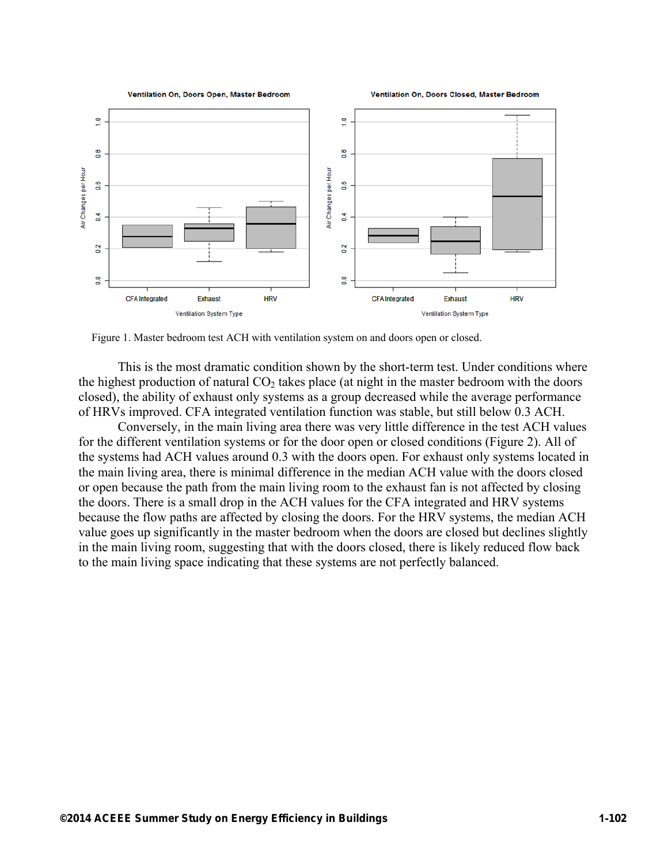

Figure 1. Master bedroom test ACH with ventilation system on and doors open or closed.

This is the most dramatic condition shown by the short-term test. Under conditions where the highest production of natural  $CO<sub>2</sub>$  takes place (at night in the master bedroom with the doors closed), the ability of exhaust only systems as a group decreased while the average performance of HRVs improved. CFA integrated ventilation function was stable, but still below 0.3 ACH.

Conversely, in the main living area there was very little difference in the test ACH values for the different ventilation systems or for the door open or closed conditions (Figure 2). All of the systems had ACH values around 0.3 with the doors open. For exhaust only systems located in the main living area, there is minimal difference in the median ACH value with the doors closed or open because the path from the main living room to the exhaust fan is not affected by closing the doors. There is a small drop in the ACH values for the CFA integrated and HRV systems because the flow paths are affected by closing the doors. For the HRV systems, the median ACH value goes up significantly in the master bedroom when the doors are closed but declines slightly in the main living room, suggesting that with the doors closed, there is likely reduced flow back to the main living space indicating that these systems are not perfectly balanced.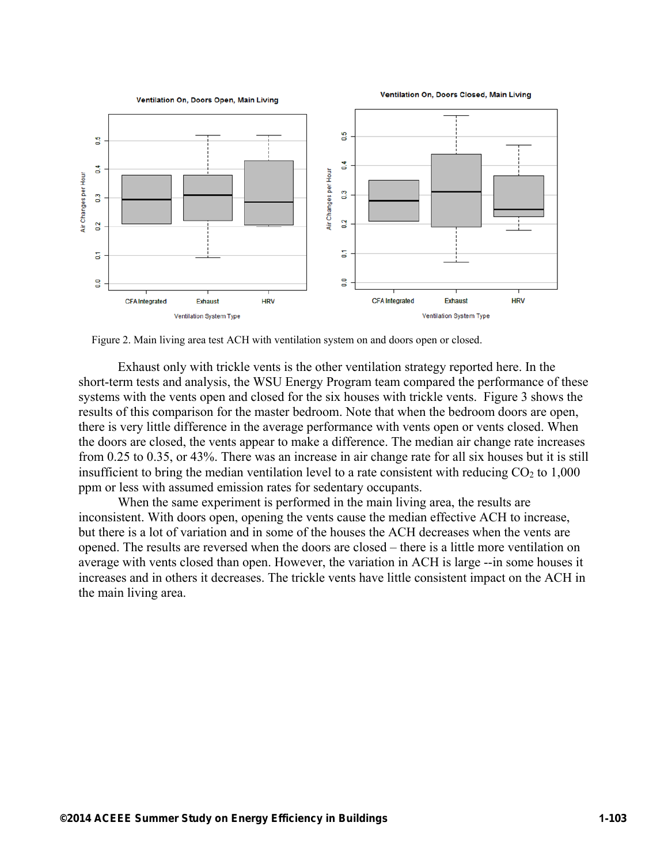

Figure 2. Main living area test ACH with ventilation system on and doors open or closed.

Exhaust only with trickle vents is the other ventilation strategy reported here. In the short-term tests and analysis, the WSU Energy Program team compared the performance of these systems with the vents open and closed for the six houses with trickle vents. Figure 3 shows the results of this comparison for the master bedroom. Note that when the bedroom doors are open, there is very little difference in the average performance with vents open or vents closed. When the doors are closed, the vents appear to make a difference. The median air change rate increases from 0.25 to 0.35, or 43%. There was an increase in air change rate for all six houses but it is still insufficient to bring the median ventilation level to a rate consistent with reducing  $CO<sub>2</sub>$  to 1,000 ppm or less with assumed emission rates for sedentary occupants.

When the same experiment is performed in the main living area, the results are inconsistent. With doors open, opening the vents cause the median effective ACH to increase, but there is a lot of variation and in some of the houses the ACH decreases when the vents are opened. The results are reversed when the doors are closed – there is a little more ventilation on average with vents closed than open. However, the variation in ACH is large --in some houses it increases and in others it decreases. The trickle vents have little consistent impact on the ACH in the main living area.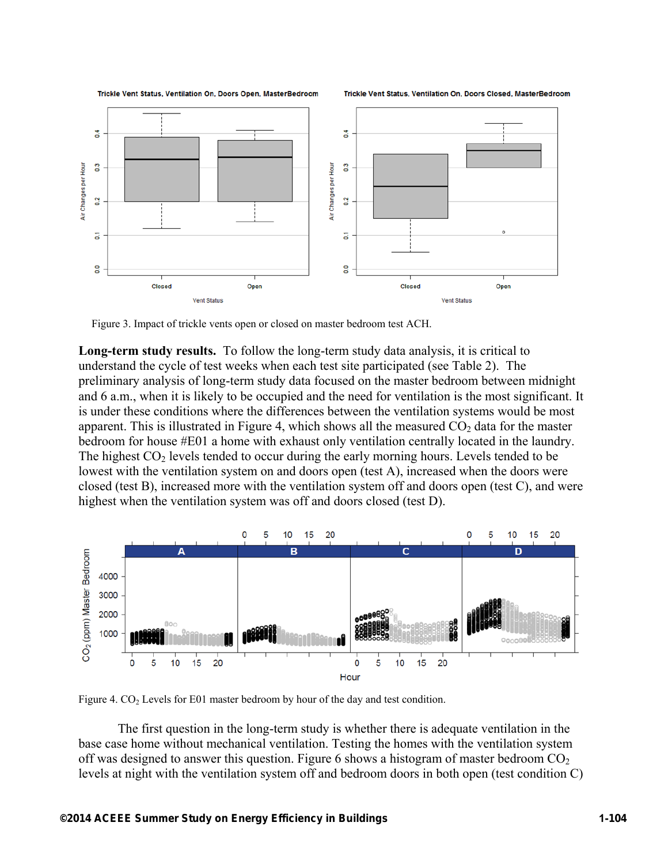

Trickle Vent Status, Ventilation On, Doors Closed, MasterBedroom



Figure 3. Impact of trickle vents open or closed on master bedroom test ACH.

**Long-term study results.** To follow the long-term study data analysis, it is critical to understand the cycle of test weeks when each test site participated (see Table 2). The preliminary analysis of long-term study data focused on the master bedroom between midnight and 6 a.m., when it is likely to be occupied and the need for ventilation is the most significant. It is under these conditions where the differences between the ventilation systems would be most apparent. This is illustrated in Figure 4, which shows all the measured  $CO<sub>2</sub>$  data for the master bedroom for house #E01 a home with exhaust only ventilation centrally located in the laundry. The highest  $CO<sub>2</sub>$  levels tended to occur during the early morning hours. Levels tended to be lowest with the ventilation system on and doors open (test A), increased when the doors were closed (test B), increased more with the ventilation system off and doors open (test C), and were highest when the ventilation system was off and doors closed (test D).



Figure 4.  $CO<sub>2</sub>$  Levels for E01 master bedroom by hour of the day and test condition.

The first question in the long-term study is whether there is adequate ventilation in the base case home without mechanical ventilation. Testing the homes with the ventilation system off was designed to answer this question. Figure 6 shows a histogram of master bedroom  $CO<sub>2</sub>$ levels at night with the ventilation system off and bedroom doors in both open (test condition C)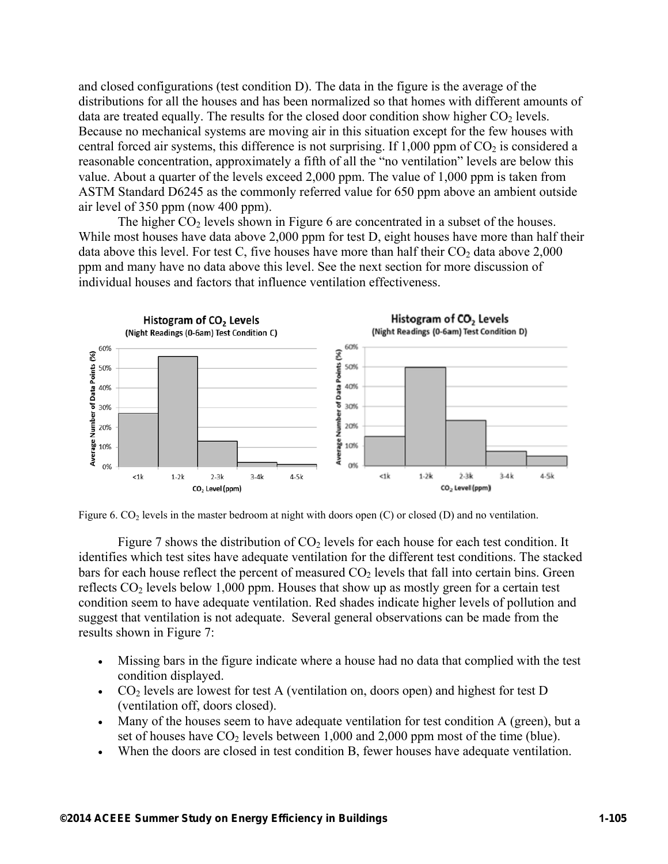and closed configurations (test condition D). The data in the figure is the average of the distributions for all the houses and has been normalized so that homes with different amounts of data are treated equally. The results for the closed door condition show higher  $CO<sub>2</sub>$  levels. Because no mechanical systems are moving air in this situation except for the few houses with central forced air systems, this difference is not surprising. If  $1,000$  ppm of  $CO<sub>2</sub>$  is considered a reasonable concentration, approximately a fifth of all the "no ventilation" levels are below this value. About a quarter of the levels exceed 2,000 ppm. The value of 1,000 ppm is taken from ASTM Standard D6245 as the commonly referred value for 650 ppm above an ambient outside air level of 350 ppm (now 400 ppm).

The higher  $CO<sub>2</sub>$  levels shown in Figure 6 are concentrated in a subset of the houses. While most houses have data above 2,000 ppm for test D, eight houses have more than half their data above this level. For test C, five houses have more than half their  $CO<sub>2</sub>$  data above 2,000 ppm and many have no data above this level. See the next section for more discussion of individual houses and factors that influence ventilation effectiveness.





Figure 7 shows the distribution of  $CO<sub>2</sub>$  levels for each house for each test condition. It identifies which test sites have adequate ventilation for the different test conditions. The stacked bars for each house reflect the percent of measured  $CO<sub>2</sub>$  levels that fall into certain bins. Green reflects  $CO<sub>2</sub>$  levels below 1,000 ppm. Houses that show up as mostly green for a certain test condition seem to have adequate ventilation. Red shades indicate higher levels of pollution and suggest that ventilation is not adequate. Several general observations can be made from the results shown in Figure 7:

- Missing bars in the figure indicate where a house had no data that complied with the test condition displayed.
- $CO<sub>2</sub>$  levels are lowest for test A (ventilation on, doors open) and highest for test D (ventilation off, doors closed).
- Many of the houses seem to have adequate ventilation for test condition A (green), but a set of houses have  $CO<sub>2</sub>$  levels between 1,000 and 2,000 ppm most of the time (blue).
- When the doors are closed in test condition B, fewer houses have adequate ventilation.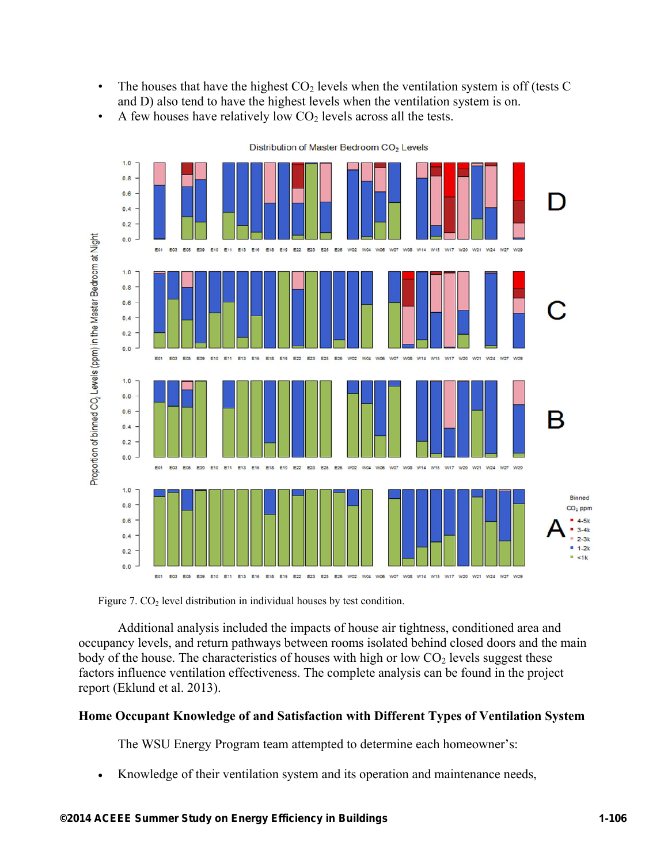- The houses that have the highest  $CO<sub>2</sub>$  levels when the ventilation system is off (tests C and D) also tend to have the highest levels when the ventilation system is on.
- A few houses have relatively low  $CO<sub>2</sub>$  levels across all the tests.



Distribution of Master Bedroom CO<sub>2</sub> Levels

Figure 7.  $CO<sub>2</sub>$  level distribution in individual houses by test condition.

Additional analysis included the impacts of house air tightness, conditioned area and occupancy levels, and return pathways between rooms isolated behind closed doors and the main body of the house. The characteristics of houses with high or low  $CO<sub>2</sub>$  levels suggest these factors influence ventilation effectiveness. The complete analysis can be found in the project report (Eklund et al. 2013).

#### **Home Occupant Knowledge of and Satisfaction with Different Types of Ventilation System**

The WSU Energy Program team attempted to determine each homeowner's:

Knowledge of their ventilation system and its operation and maintenance needs,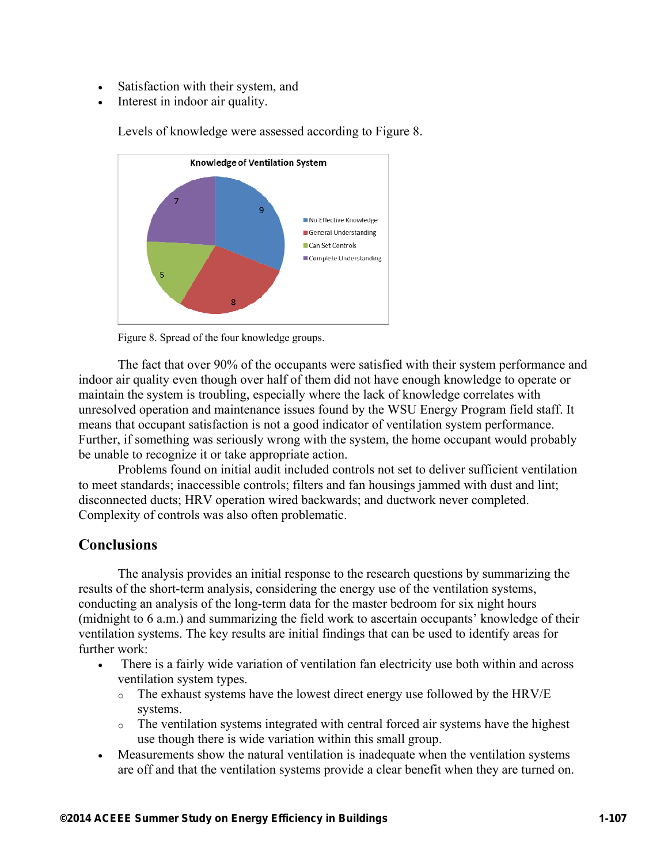- Satisfaction with their system, and
- Interest in indoor air quality.



Levels of knowledge were assessed according to Figure 8.

Figure 8. Spread of the four knowledge groups.

The fact that over 90% of the occupants were satisfied with their system performance and indoor air quality even though over half of them did not have enough knowledge to operate or maintain the system is troubling, especially where the lack of knowledge correlates with unresolved operation and maintenance issues found by the WSU Energy Program field staff. It means that occupant satisfaction is not a good indicator of ventilation system performance. Further, if something was seriously wrong with the system, the home occupant would probably be unable to recognize it or take appropriate action.

Problems found on initial audit included controls not set to deliver sufficient ventilation to meet standards; inaccessible controls; filters and fan housings jammed with dust and lint; disconnected ducts; HRV operation wired backwards; and ductwork never completed. Complexity of controls was also often problematic.

### **Conclusions**

The analysis provides an initial response to the research questions by summarizing the results of the short-term analysis, considering the energy use of the ventilation systems, conducting an analysis of the long-term data for the master bedroom for six night hours (midnight to 6 a.m.) and summarizing the field work to ascertain occupants' knowledge of their ventilation systems. The key results are initial findings that can be used to identify areas for further work:

- There is a fairly wide variation of ventilation fan electricity use both within and across ventilation system types.
	- o The exhaust systems have the lowest direct energy use followed by the HRV/E systems.
	- o The ventilation systems integrated with central forced air systems have the highest use though there is wide variation within this small group.
- Measurements show the natural ventilation is inadequate when the ventilation systems are off and that the ventilation systems provide a clear benefit when they are turned on.